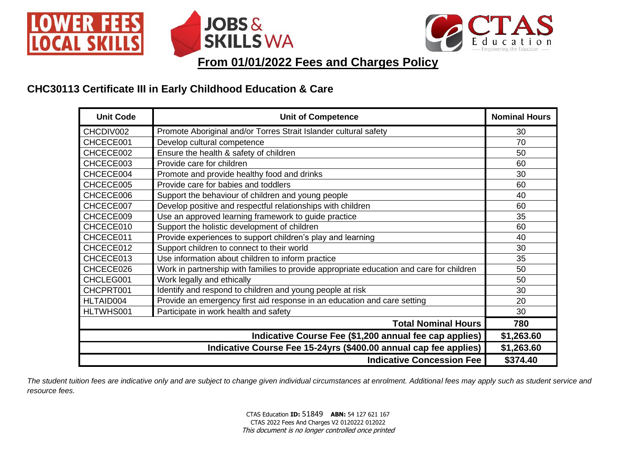





**From 01/01/2022 Fees and Charges Policy**

# **CHC30113 Certificate III in Early Childhood Education & Care**

| <b>Unit Code</b> | <b>Nominal Hours</b>                                                                     |            |
|------------------|------------------------------------------------------------------------------------------|------------|
| CHCDIV002        | Promote Aboriginal and/or Torres Strait Islander cultural safety                         | 30         |
| CHCECE001        | Develop cultural competence                                                              | 70         |
| CHCECE002        | Ensure the health & safety of children                                                   | 50         |
| CHCECE003        | Provide care for children                                                                | 60         |
| CHCECE004        | Promote and provide healthy food and drinks                                              | 30         |
| CHCECE005        | Provide care for babies and toddlers                                                     | 60         |
| CHCECE006        | Support the behaviour of children and young people                                       | 40         |
| CHCECE007        | Develop positive and respectful relationships with children                              | 60         |
| CHCECE009        | Use an approved learning framework to guide practice                                     | 35         |
| CHCECE010        | Support the holistic development of children                                             | 60         |
| CHCECE011        | Provide experiences to support children's play and learning                              | 40         |
| CHCECE012        | Support children to connect to their world                                               | 30         |
| CHCECE013        | Use information about children to inform practice                                        | 35         |
| CHCECE026        | Work in partnership with families to provide appropriate education and care for children | 50         |
| CHCLEG001        | Work legally and ethically                                                               | 50         |
| CHCPRT001        | Identify and respond to children and young people at risk                                | 30         |
| HLTAID004        | Provide an emergency first aid response in an education and care setting                 | 20         |
| HLTWHS001        | Participate in work health and safety                                                    | 30         |
|                  | <b>Total Nominal Hours</b>                                                               | 780        |
|                  | Indicative Course Fee (\$1,200 annual fee cap applies)                                   | \$1,263.60 |
|                  | Indicative Course Fee 15-24yrs (\$400.00 annual cap fee applies)                         | \$1,263.60 |
|                  | <b>Indicative Concession Fee</b>                                                         | \$374.40   |

*The student tuition fees are indicative only and are subject to change given individual circumstances at enrolment. Additional fees may apply such as student service and resource fees.*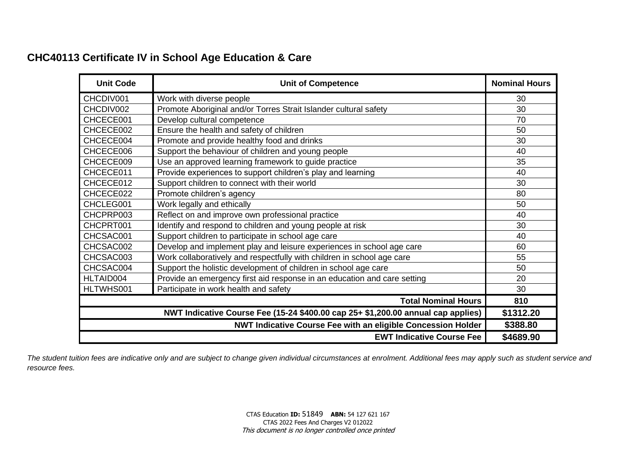# **CHC40113 Certificate IV in School Age Education & Care**

| <b>Unit Code</b> | <b>Nominal Hours</b>                                                             |           |
|------------------|----------------------------------------------------------------------------------|-----------|
| CHCDIV001        | Work with diverse people                                                         | 30        |
| CHCDIV002        | Promote Aboriginal and/or Torres Strait Islander cultural safety                 | 30        |
| CHCECE001        | Develop cultural competence                                                      | 70        |
| CHCECE002        | Ensure the health and safety of children                                         | 50        |
| CHCECE004        | Promote and provide healthy food and drinks                                      | 30        |
| CHCECE006        | Support the behaviour of children and young people                               | 40        |
| CHCECE009        | Use an approved learning framework to guide practice                             | 35        |
| CHCECE011        | Provide experiences to support children's play and learning                      | 40        |
| CHCECE012        | Support children to connect with their world                                     | 30        |
| CHCECE022        | Promote children's agency                                                        | 80        |
| CHCLEG001        | Work legally and ethically                                                       | 50        |
| CHCPRP003        | Reflect on and improve own professional practice                                 | 40        |
| CHCPRT001        | Identify and respond to children and young people at risk                        | 30        |
| CHCSAC001        | Support children to participate in school age care                               | 40        |
| CHCSAC002        | Develop and implement play and leisure experiences in school age care            | 60        |
| CHCSAC003        | Work collaboratively and respectfully with children in school age care           | 55        |
| CHCSAC004        | Support the holistic development of children in school age care                  | 50        |
| HLTAID004        | Provide an emergency first aid response in an education and care setting         | 20        |
| HLTWHS001        | Participate in work health and safety                                            | 30        |
|                  | <b>Total Nominal Hours</b>                                                       | 810       |
|                  | NWT Indicative Course Fee (15-24 \$400.00 cap 25+ \$1,200.00 annual cap applies) | \$1312.20 |
|                  | NWT Indicative Course Fee with an eligible Concession Holder                     | \$388.80  |
|                  | <b>EWT Indicative Course Fee</b>                                                 | \$4689.90 |

*The student tuition fees are indicative only and are subject to change given individual circumstances at enrolment. Additional fees may apply such as student service and resource fees.*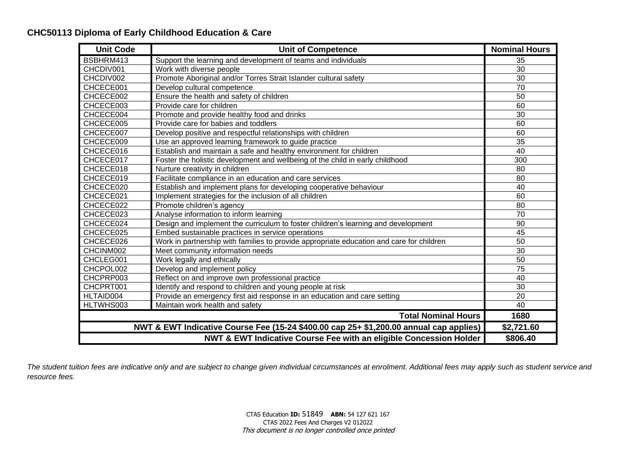### **CHC50113 Diploma of Early Childhood Education & Care**

| <b>Unit Code</b>           | <b>Nominal Hours</b>                                                                     |                 |  |
|----------------------------|------------------------------------------------------------------------------------------|-----------------|--|
| BSBHRM413                  | Support the learning and development of teams and individuals                            | 35              |  |
| CHCDIV001                  | Work with diverse people                                                                 | 30              |  |
| CHCDIV002                  | Promote Aboriginal and/or Torres Strait Islander cultural safety                         | 30              |  |
| CHCECE001                  | Develop cultural competence                                                              | 70              |  |
| CHCECE002                  | Ensure the health and safety of children                                                 | 50              |  |
| CHCECE003                  | Provide care for children                                                                | 60              |  |
| CHCECE004                  | Promote and provide healthy food and drinks                                              | 30              |  |
| CHCECE005                  | Provide care for babies and toddlers                                                     | 60              |  |
| CHCECE007                  | Develop positive and respectful relationships with children                              | 60              |  |
| CHCECE009                  | Use an approved learning framework to guide practice                                     | 35              |  |
| CHCECE016                  | Establish and maintain a safe and healthy environment for children                       | 40              |  |
| CHCECE017                  | Foster the holistic development and wellbeing of the child in early childhood            | 300             |  |
| CHCECE018                  | Nurture creativity in children                                                           | 80              |  |
| CHCECE019                  | Facilitate compliance in an education and care services                                  | 80              |  |
| CHCECE020                  | Establish and implement plans for developing cooperative behaviour                       | 40              |  |
| CHCECE021                  | Implement strategies for the inclusion of all children                                   | 60              |  |
| CHCECE022                  | Promote children's agency                                                                | 80              |  |
| CHCECE023                  | Analyse information to inform learning                                                   | $\overline{70}$ |  |
| CHCECE024                  | Design and implement the curriculum to foster children's learning and development        | 90              |  |
| CHCECE025                  | Embed sustainable practices in service operations                                        | 45              |  |
| CHCECE026                  | Work in partnership with families to provide appropriate education and care for children | 50              |  |
| CHCINM002                  | Meet community information needs                                                         | 30              |  |
| CHCLEG001                  | Work legally and ethically                                                               | 50              |  |
| CHCPOL002                  | Develop and implement policy                                                             | 75              |  |
| CHCPRP003                  | Reflect on and improve own professional practice                                         | 40              |  |
| CHCPRT001                  | Identify and respond to children and young people at risk                                | 30              |  |
| HLTAID004                  | Provide an emergency first aid response in an education and care setting                 | 20              |  |
| HLTWHS003                  | Maintain work health and safety                                                          | 40              |  |
| <b>Total Nominal Hours</b> |                                                                                          |                 |  |
|                            | NWT & EWT Indicative Course Fee (15-24 \$400.00 cap 25+ \$1,200.00 annual cap applies)   | \$2,721.60      |  |
|                            | \$806.40                                                                                 |                 |  |

*The student tuition fees are indicative only and are subject to change given individual circumstances at enrolment. Additional fees may apply such as student service and resource fees.*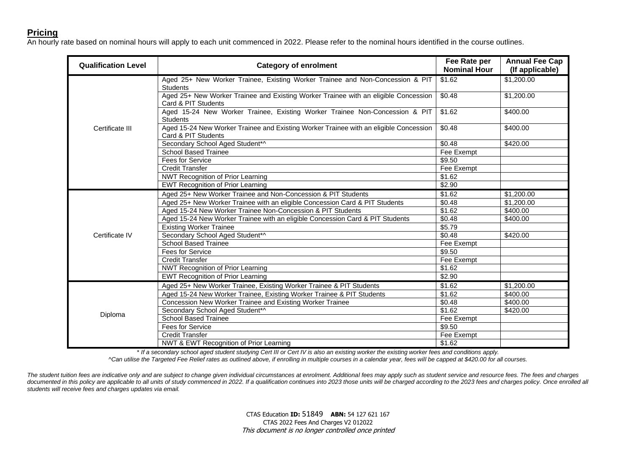#### **Pricing**

An hourly rate based on nominal hours will apply to each unit commenced in 2022. Please refer to the nominal hours identified in the course outlines.

| <b>Qualification Level</b> | <b>Category of enrolment</b>                                                                                 | Fee Rate per<br><b>Nominal Hour</b> | <b>Annual Fee Cap</b><br>(If applicable) |  |
|----------------------------|--------------------------------------------------------------------------------------------------------------|-------------------------------------|------------------------------------------|--|
| Certificate III            | Aged 25+ New Worker Trainee, Existing Worker Trainee and Non-Concession & PIT<br><b>Students</b>             | \$1.62                              | \$1,200.00                               |  |
|                            | Aged 25+ New Worker Trainee and Existing Worker Trainee with an eligible Concession<br>Card & PIT Students   | \$0.48                              | \$1,200.00                               |  |
|                            | Aged 15-24 New Worker Trainee, Existing Worker Trainee Non-Concession & PIT<br><b>Students</b>               | \$1.62                              | \$400.00                                 |  |
|                            | Aged 15-24 New Worker Trainee and Existing Worker Trainee with an eligible Concession<br>Card & PIT Students | \$0.48                              | \$400.00                                 |  |
|                            | Secondary School Aged Student*^                                                                              | \$0.48                              | \$420.00                                 |  |
|                            | <b>School Based Trainee</b>                                                                                  | Fee Exempt                          |                                          |  |
|                            | <b>Fees for Service</b>                                                                                      | \$9.50                              |                                          |  |
|                            | <b>Credit Transfer</b>                                                                                       | Fee Exempt                          |                                          |  |
|                            | <b>NWT</b> Recognition of Prior Learning                                                                     | \$1.62                              |                                          |  |
|                            | <b>EWT Recognition of Prior Learning</b>                                                                     | \$2.90                              |                                          |  |
|                            | Aged 25+ New Worker Trainee and Non-Concession & PIT Students                                                | \$1.62                              | \$1,200.00                               |  |
|                            | Aged 25+ New Worker Trainee with an eligible Concession Card & PIT Students                                  | \$0.48                              | \$1,200.00                               |  |
|                            | Aged 15-24 New Worker Trainee Non-Concession & PIT Students                                                  | \$1.62                              | \$400.00                                 |  |
|                            | Aged 15-24 New Worker Trainee with an eligible Concession Card & PIT Students                                | \$0.48                              | \$400.00                                 |  |
|                            | <b>Existing Worker Trainee</b>                                                                               | \$5.79                              |                                          |  |
| Certificate IV             | Secondary School Aged Student*^                                                                              | \$0.48                              | \$420.00                                 |  |
|                            | <b>School Based Trainee</b>                                                                                  | Fee Exempt                          |                                          |  |
|                            | <b>Fees for Service</b>                                                                                      | \$9.50                              |                                          |  |
|                            | <b>Credit Transfer</b>                                                                                       | Fee Exempt                          |                                          |  |
|                            | NWT Recognition of Prior Learning                                                                            | \$1.62                              |                                          |  |
|                            | <b>EWT Recognition of Prior Learning</b>                                                                     | \$2.90                              |                                          |  |
|                            | Aged 25+ New Worker Trainee, Existing Worker Trainee & PIT Students                                          | \$1.62                              | \$1,200.00                               |  |
|                            | Aged 15-24 New Worker Trainee, Existing Worker Trainee & PIT Students                                        | \$1.62                              | \$400.00                                 |  |
|                            | Concession New Worker Trainee and Existing Worker Trainee                                                    | \$0.48                              | \$400.00                                 |  |
|                            | Secondary School Aged Student*^                                                                              | \$1.62                              | \$420.00                                 |  |
| Diploma                    | <b>School Based Trainee</b>                                                                                  | Fee Exempt                          |                                          |  |
|                            | Fees for Service                                                                                             | \$9.50                              |                                          |  |
|                            | <b>Credit Transfer</b>                                                                                       | Fee Exempt                          |                                          |  |
|                            | NWT & EWT Recognition of Prior Learning                                                                      | \$1.62                              |                                          |  |

\* *If a secondary school aged student studying Cert III or Cert IV is also an existing worker the existing worker fees and conditions apply.*

*^Can utilise the Targeted Fee Relief rates as outlined above, if enrolling in multiple courses in a calendar year, fees will be capped at \$420.00 for all courses.*

*The student tuition fees are indicative only and are subject to change given individual circumstances at enrolment. Additional fees may apply such as student service and resource fees. The fees and charges*  documented in this policy are applicable to all units of study commenced in 2022. If a qualification continues into 2023 those units will be charged according to the 2023 fees and charges policy. Once enrolled all *students will receive fees and charges updates via email.*

> CTAS Education **ID:** 51849 **ABN:** 54 127 621 167 CTAS 2022 Fees And Charges V2 012022 This document is no longer controlled once printed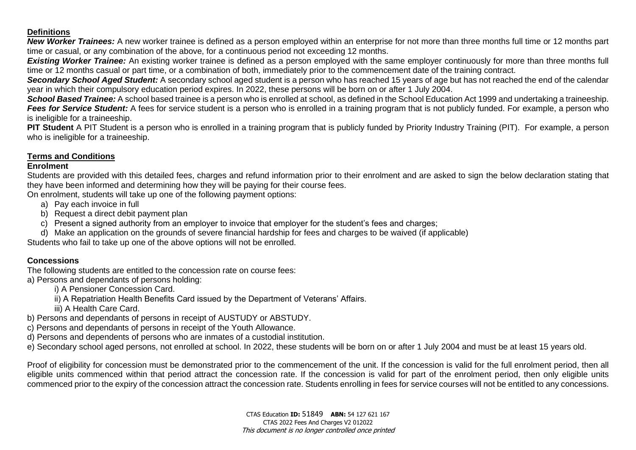#### **Definitions**

*New Worker Trainees:* A new worker trainee is defined as a person employed within an enterprise for not more than three months full time or 12 months part time or casual, or any combination of the above, for a continuous period not exceeding 12 months.

**Existing Worker Trainee:** An existing worker trainee is defined as a person employed with the same employer continuously for more than three months full time or 12 months casual or part time, or a combination of both, immediately prior to the commencement date of the training contract.

*Secondary School Aged Student:* A secondary school aged student is a person who has reached 15 years of age but has not reached the end of the calendar year in which their compulsory education period expires. In 2022, these persons will be born on or after 1 July 2004.

**School Based Trainee:** A school based trainee is a person who is enrolled at school, as defined in the School Education Act 1999 and undertaking a traineeship. *Fees for Service Student:* A fees for service student is a person who is enrolled in a training program that is not publicly funded. For example, a person who is ineligible for a traineeship.

**PIT Student** A PIT Student is a person who is enrolled in a training program that is publicly funded by Priority Industry Training (PIT). For example, a person who is ineligible for a traineeship.

#### **Terms and Conditions**

#### **Enrolment**

Students are provided with this detailed fees, charges and refund information prior to their enrolment and are asked to sign the below declaration stating that they have been informed and determining how they will be paying for their course fees.

On enrolment, students will take up one of the following payment options:

- a) Pay each invoice in full
- b) Request a direct debit payment plan
- c) Present a signed authority from an employer to invoice that employer for the student's fees and charges;
- d) Make an application on the grounds of severe financial hardship for fees and charges to be waived (if applicable)

Students who fail to take up one of the above options will not be enrolled.

#### **Concessions**

The following students are entitled to the concession rate on course fees:

a) Persons and dependants of persons holding:

i) A Pensioner Concession Card.

ii) A Repatriation Health Benefits Card issued by the Department of Veterans' Affairs.

iii) A Health Care Card.

b) Persons and dependants of persons in receipt of AUSTUDY or ABSTUDY.

c) Persons and dependants of persons in receipt of the Youth Allowance.

d) Persons and dependents of persons who are inmates of a custodial institution.

e) Secondary school aged persons, not enrolled at school. In 2022, these students will be born on or after 1 July 2004 and must be at least 15 years old.

Proof of eligibility for concession must be demonstrated prior to the commencement of the unit. If the concession is valid for the full enrolment period, then all eligible units commenced within that period attract the concession rate. If the concession is valid for part of the enrolment period, then only eligible units commenced prior to the expiry of the concession attract the concession rate. Students enrolling in fees for service courses will not be entitled to any concessions.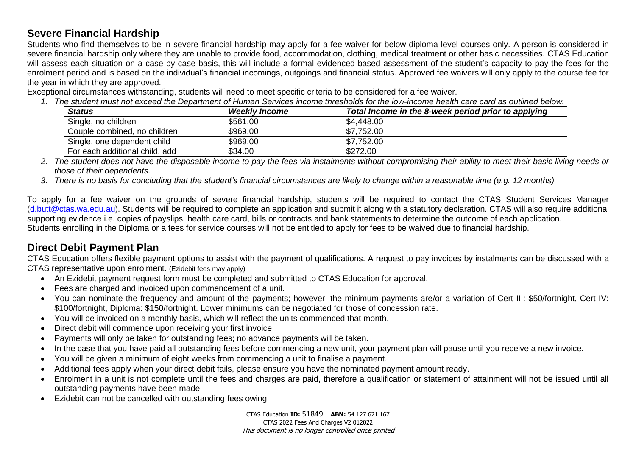## **Severe Financial Hardship**

Students who find themselves to be in severe financial hardship may apply for a fee waiver for below diploma level courses only. A person is considered in severe financial hardship only where they are unable to provide food, accommodation, clothing, medical treatment or other basic necessities. CTAS Education will assess each situation on a case by case basis, this will include a formal evidenced-based assessment of the student's capacity to pay the fees for the enrolment period and is based on the individual's financial incomings, outgoings and financial status. Approved fee waivers will only apply to the course fee for the year in which they are approved.

Exceptional circumstances withstanding, students will need to meet specific criteria to be considered for a fee waiver.

*1. The student must not exceed the Department of Human Services income thresholds for the low-income health care card as outlined below.*

| <b>Status</b>                  | <b>Weekly Income</b> | Total Income in the 8-week period prior to applying |
|--------------------------------|----------------------|-----------------------------------------------------|
| Single, no children            | \$561.00             | \$4,448.00                                          |
| Couple combined, no children   | \$969.00             | \$7,752.00                                          |
| Single, one dependent child    | \$969.00             | \$7,752.00                                          |
| For each additional child, add | \$34.00              | \$272.00                                            |

*2. The student does not have the disposable income to pay the fees via instalments without compromising their ability to meet their basic living needs or those of their dependents.*

*3. There is no basis for concluding that the student's financial circumstances are likely to change within a reasonable time (e.g. 12 months)*

To apply for a fee waiver on the grounds of severe financial hardship, students will be required to contact the CTAS Student Services Manager [\(d.butt@ctas.wa.edu.au\)](mailto:d.butt@ctas.wa.edu.au). Students will be required to complete an application and submit it along with a statutory declaration. CTAS will also require additional supporting evidence i.e. copies of payslips, health care card, bills or contracts and bank statements to determine the outcome of each application. Students enrolling in the Diploma or a fees for service courses will not be entitled to apply for fees to be waived due to financial hardship.

# **Direct Debit Payment Plan**

CTAS Education offers flexible payment options to assist with the payment of qualifications. A request to pay invoices by instalments can be discussed with a CTAS representative upon enrolment. (Ezidebit fees may apply)

- An Ezidebit payment request form must be completed and submitted to CTAS Education for approval.
- Fees are charged and invoiced upon commencement of a unit.
- You can nominate the frequency and amount of the payments; however, the minimum payments are/or a variation of Cert III: \$50/fortnight, Cert IV: \$100/fortnight, Diploma: \$150/fortnight. Lower minimums can be negotiated for those of concession rate.
- You will be invoiced on a monthly basis, which will reflect the units commenced that month.
- Direct debit will commence upon receiving your first invoice.
- Payments will only be taken for outstanding fees; no advance payments will be taken.
- In the case that you have paid all outstanding fees before commencing a new unit, your payment plan will pause until you receive a new invoice.
- You will be given a minimum of eight weeks from commencing a unit to finalise a payment.
- Additional fees apply when your direct debit fails, please ensure you have the nominated payment amount ready.
- Enrolment in a unit is not complete until the fees and charges are paid, therefore a qualification or statement of attainment will not be issued until all outstanding payments have been made.
- Ezidebit can not be cancelled with outstanding fees owing.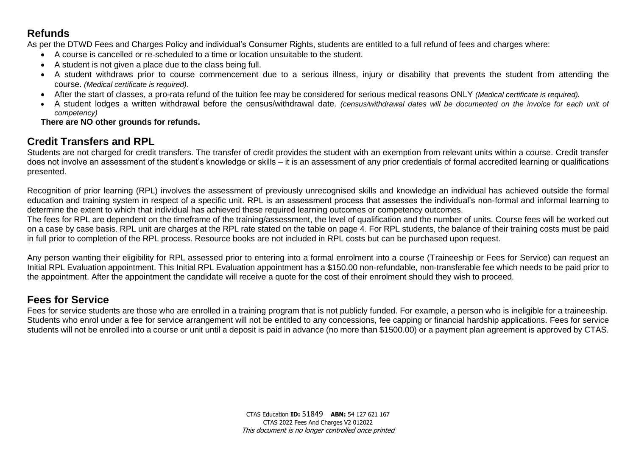## **Refunds**

As per the DTWD Fees and Charges Policy and individual's Consumer Rights, students are entitled to a full refund of fees and charges where:

- A course is cancelled or re-scheduled to a time or location unsuitable to the student.
- A student is not given a place due to the class being full.
- A student withdraws prior to course commencement due to a serious illness, injury or disability that prevents the student from attending the course. *(Medical certificate is required).*
- After the start of classes, a pro-rata refund of the tuition fee may be considered for serious medical reasons ONLY *(Medical certificate is required).*
- A student lodges a written withdrawal before the census/withdrawal date. *(census/withdrawal dates will be documented on the invoice for each unit of competency)*

#### **There are NO other grounds for refunds.**

# **Credit Transfers and RPL**

Students are not charged for credit transfers. The transfer of credit provides the student with an exemption from relevant units within a course. Credit transfer does not involve an assessment of the student's knowledge or skills – it is an assessment of any prior credentials of formal accredited learning or qualifications presented.

Recognition of prior learning (RPL) involves the assessment of previously unrecognised skills and knowledge an individual has achieved outside the formal education and training system in respect of a specific unit. RPL is an assessment process that assesses the individual's non-formal and informal learning to determine the extent to which that individual has achieved these required learning outcomes or competency outcomes.

The fees for RPL are dependent on the timeframe of the training/assessment, the level of qualification and the number of units. Course fees will be worked out on a case by case basis. RPL unit are charges at the RPL rate stated on the table on page 4. For RPL students, the balance of their training costs must be paid in full prior to completion of the RPL process. Resource books are not included in RPL costs but can be purchased upon request.

Any person wanting their eligibility for RPL assessed prior to entering into a formal enrolment into a course (Traineeship or Fees for Service) can request an Initial RPL Evaluation appointment. This Initial RPL Evaluation appointment has a \$150.00 non-refundable, non-transferable fee which needs to be paid prior to the appointment. After the appointment the candidate will receive a quote for the cost of their enrolment should they wish to proceed.

### **Fees for Service**

Fees for service students are those who are enrolled in a training program that is not publicly funded. For example, a person who is ineligible for a traineeship. Students who enrol under a fee for service arrangement will not be entitled to any concessions, fee capping or financial hardship applications. Fees for service students will not be enrolled into a course or unit until a deposit is paid in advance (no more than \$1500.00) or a payment plan agreement is approved by CTAS.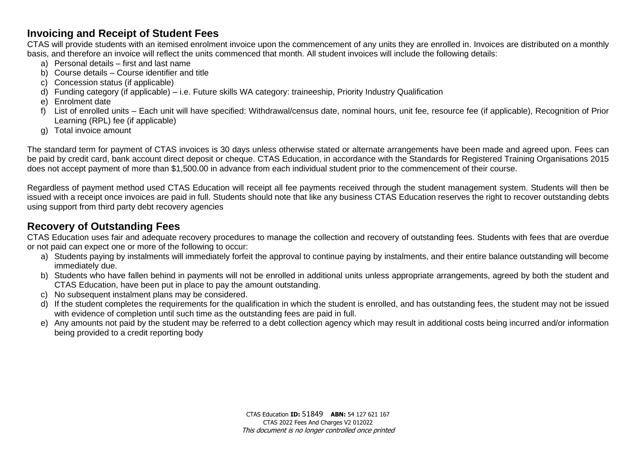### **Invoicing and Receipt of Student Fees**

CTAS will provide students with an itemised enrolment invoice upon the commencement of any units they are enrolled in. Invoices are distributed on a monthly basis, and therefore an invoice will reflect the units commenced that month. All student invoices will include the following details:

- a) Personal details first and last name
- b) Course details Course identifier and title
- c) Concession status (if applicable)
- d) Funding category (if applicable) i.e. Future skills WA category: traineeship, Priority Industry Qualification
- e) Enrolment date
- f) List of enrolled units Each unit will have specified: Withdrawal/census date, nominal hours, unit fee, resource fee (if applicable), Recognition of Prior Learning (RPL) fee (if applicable)
- g) Total invoice amount

The standard term for payment of CTAS invoices is 30 days unless otherwise stated or alternate arrangements have been made and agreed upon. Fees can be paid by credit card, bank account direct deposit or cheque. CTAS Education, in accordance with the Standards for Registered Training Organisations 2015 does not accept payment of more than \$1,500.00 in advance from each individual student prior to the commencement of their course.

Regardless of payment method used CTAS Education will receipt all fee payments received through the student management system. Students will then be issued with a receipt once invoices are paid in full. Students should note that like any business CTAS Education reserves the right to recover outstanding debts using support from third party debt recovery agencies

# **Recovery of Outstanding Fees**

CTAS Education uses fair and adequate recovery procedures to manage the collection and recovery of outstanding fees. Students with fees that are overdue or not paid can expect one or more of the following to occur:

- a) Students paying by instalments will immediately forfeit the approval to continue paying by instalments, and their entire balance outstanding will become immediately due.
- b) Students who have fallen behind in payments will not be enrolled in additional units unless appropriate arrangements, agreed by both the student and CTAS Education, have been put in place to pay the amount outstanding.
- c) No subsequent instalment plans may be considered.
- d) If the student completes the requirements for the qualification in which the student is enrolled, and has outstanding fees, the student may not be issued with evidence of completion until such time as the outstanding fees are paid in full.
- e) Any amounts not paid by the student may be referred to a debt collection agency which may result in additional costs being incurred and/or information being provided to a credit reporting body